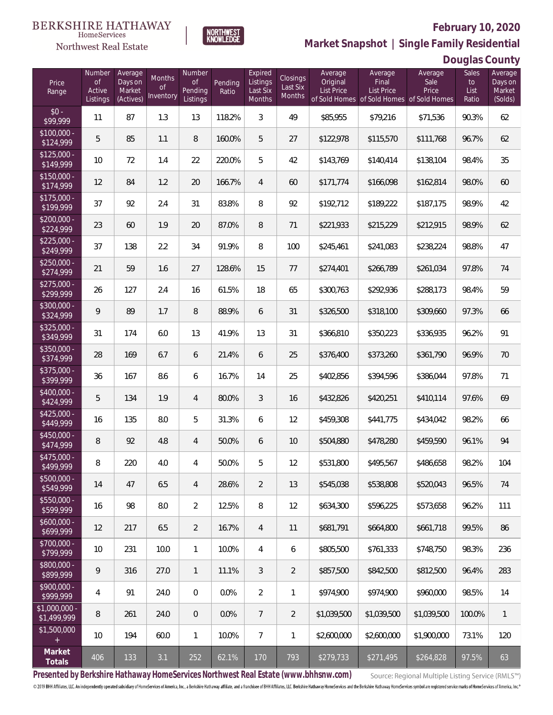

**NORTHWEST**<br>KNOWLEDGE

**Market Snapshot | Single Family Residential**

### **Douglas County**

| Price<br>Range               | Number<br><b>of</b><br>Active<br>Listings | Average<br>Days on<br>Market<br>(Actives) | Months<br>0f<br>Inventory | Number<br><b>of</b><br>Pending<br>Listings | Pending<br>Ratio | Expired<br>Listings<br>Last Six<br>Months | Closings<br>Last Six<br>Months | Average<br>Original<br><b>List Price</b> | Average<br>Final<br><b>List Price</b><br>of Sold Homes of Sold Homes of Sold Homes | Average<br>Sale<br>Price | Sales<br>to<br>List<br>Ratio | Average<br>Days on<br>Market<br>(Solds) |
|------------------------------|-------------------------------------------|-------------------------------------------|---------------------------|--------------------------------------------|------------------|-------------------------------------------|--------------------------------|------------------------------------------|------------------------------------------------------------------------------------|--------------------------|------------------------------|-----------------------------------------|
| $$0 -$<br>\$99,999           | 11                                        | 87                                        | 1.3                       | 13                                         | 118.2%           | 3                                         | 49                             | \$85,955                                 | \$79,216                                                                           | \$71,536                 | 90.3%                        | 62                                      |
| $$100,000 -$<br>\$124,999    | 5                                         | 85                                        | 1.1                       | 8                                          | 160.0%           | 5                                         | 27                             | \$122,978                                | \$115,570                                                                          | \$111,768                | 96.7%                        | 62                                      |
| $$125,000 -$<br>\$149,999    | 10                                        | 72                                        | 1.4                       | 22                                         | 220.0%           | 5                                         | 42                             | \$143,769                                | \$140,414                                                                          | \$138,104                | 98.4%                        | 35                                      |
| $$150,000 -$<br>\$174,999    | 12                                        | 84                                        | 1.2                       | 20                                         | 166.7%           | $\overline{4}$                            | 60                             | \$171,774                                | \$166,098                                                                          | \$162,814                | 98.0%                        | 60                                      |
| $$175,000 -$<br>\$199,999    | 37                                        | 92                                        | 2.4                       | 31                                         | 83.8%            | 8                                         | 92                             | \$192,712                                | \$189,222                                                                          | \$187,175                | 98.9%                        | 42                                      |
| $$200,000 -$<br>\$224,999    | 23                                        | 60                                        | 1.9                       | 20                                         | 87.0%            | 8                                         | 71                             | \$221,933                                | \$215,229                                                                          | \$212,915                | 98.9%                        | 62                                      |
| $$225,000 -$<br>\$249,999    | 37                                        | 138                                       | 2.2                       | 34                                         | 91.9%            | 8                                         | 100                            | \$245,461                                | \$241,083                                                                          | \$238,224                | 98.8%                        | 47                                      |
| $$250,000 -$<br>\$274,999    | 21                                        | 59                                        | 1.6                       | 27                                         | 128.6%           | 15                                        | 77                             | \$274,401                                | \$266,789                                                                          | \$261,034                | 97.8%                        | 74                                      |
| $$275,000 -$<br>\$299,999    | 26                                        | 127                                       | 2.4                       | 16                                         | 61.5%            | 18                                        | 65                             | \$300,763                                | \$292,936                                                                          | \$288,173                | 98.4%                        | 59                                      |
| $$300,000 -$<br>\$324,999    | 9                                         | 89                                        | 1.7                       | 8                                          | 88.9%            | 6                                         | 31                             | \$326,500                                | \$318,100                                                                          | \$309,660                | 97.3%                        | 66                                      |
| $$325,000 -$<br>\$349,999    | 31                                        | 174                                       | 6.0                       | 13                                         | 41.9%            | 13                                        | 31                             | \$366,810                                | \$350,223                                                                          | \$336,935                | 96.2%                        | 91                                      |
| $$350,000 -$<br>\$374,999    | 28                                        | 169                                       | 6.7                       | 6                                          | 21.4%            | 6                                         | 25                             | \$376,400                                | \$373,260                                                                          | \$361,790                | 96.9%                        | 70                                      |
| $$375,000 -$<br>\$399,999    | 36                                        | 167                                       | 8.6                       | 6                                          | 16.7%            | 14                                        | 25                             | \$402,856                                | \$394,596                                                                          | \$386,044                | 97.8%                        | 71                                      |
| $$400,000 -$<br>\$424,999    | 5                                         | 134                                       | 1.9                       | 4                                          | 80.0%            | $\mathfrak{Z}$                            | 16                             | \$432,826                                | \$420,251                                                                          | \$410,114                | 97.6%                        | 69                                      |
| $$425,000 -$<br>\$449,999    | 16                                        | 135                                       | 8.0                       | 5                                          | 31.3%            | 6                                         | 12                             | \$459,308                                | \$441,775                                                                          | \$434,042                | 98.2%                        | 66                                      |
| $$450,000 -$<br>\$474,999    | 8                                         | 92                                        | 4.8                       | 4                                          | 50.0%            | 6                                         | 10                             | \$504,880                                | \$478,280                                                                          | \$459,590                | 96.1%                        | 94                                      |
| $$475,000 -$<br>\$499,999    | 8                                         | 220                                       | 4.0                       | 4                                          | 50.0%            | 5                                         | 12                             | \$531,800                                | \$495,567                                                                          | \$486,658                | 98.2%                        | 104                                     |
| $$500,000 -$<br>\$549,999    | 14                                        | 47                                        | 6.5                       | 4                                          | 28.6%            | $\overline{2}$                            | 13                             | \$545,038                                | \$538,808                                                                          | \$520,043                | 96.5%                        | 74                                      |
| $$550,000 -$<br>\$599,999    | 16                                        | 98                                        | 8.0                       | $\overline{2}$                             | 12.5%            | 8                                         | 12                             | \$634,300                                | \$596,225                                                                          | \$573,658                | 96.2%                        | 111                                     |
| $$600,000 -$<br>\$699,999    | 12                                        | 217                                       | 6.5                       | $\overline{2}$                             | 16.7%            | $\overline{4}$                            | 11                             | \$681,791                                | \$664,800                                                                          | \$661,718                | 99.5%                        | 86                                      |
| $$700,000 -$<br>\$799,999    | 10                                        | 231                                       | 10.0                      | $\mathbf{1}$                               | 10.0%            | 4                                         | 6                              | \$805,500                                | \$761,333                                                                          | \$748,750                | 98.3%                        | 236                                     |
| \$800,000 -<br>\$899,999     | $\mathsf q$                               | 316                                       | 27.0                      | $\mathbf{1}$                               | 11.1%            | $\mathfrak{Z}$                            | $\overline{2}$                 | \$857,500                                | \$842,500                                                                          | \$812,500                | 96.4%                        | 283                                     |
| \$900,000 -<br>\$999,999     | 4                                         | 91                                        | 24.0                      | $\mathbf 0$                                | 0.0%             | $\overline{2}$                            | 1                              | \$974,900                                | \$974,900                                                                          | \$960,000                | 98.5%                        | 14                                      |
| \$1,000,000 -<br>\$1,499,999 | 8                                         | 261                                       | 24.0                      | $\overline{0}$                             | 0.0%             | $\overline{7}$                            | $\overline{2}$                 | \$1,039,500                              | \$1,039,500                                                                        | \$1,039,500              | 100.0%                       | $\overline{1}$                          |
| \$1,500,000<br>$\pm$         | 10                                        | 194                                       | 60.0                      | $\mathbf{1}$                               | 10.0%            | $\overline{7}$                            | $\mathbf{1}$                   | \$2,600,000                              | \$2,600,000                                                                        | \$1,900,000              | 73.1%                        | 120                                     |
| Market<br>Totals             | 406                                       | 133                                       | 3.1                       | 252                                        | 62.1%            | 170                                       | 793                            | \$279,733                                | \$271,495                                                                          | \$264,828                | 97.5%                        | 63                                      |

**Presented by Berkshire Hathaway HomeServices Northwest Real Estate (www.bhhsnw.com)**

Source: Regional Multiple Listing Service (RMLS™)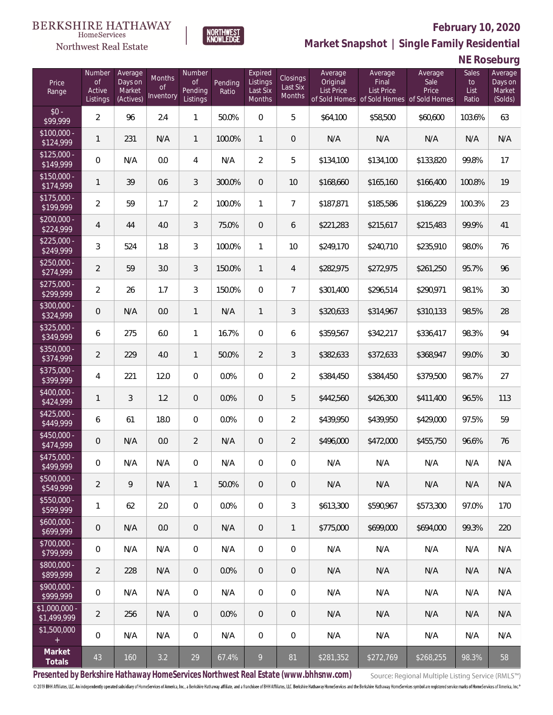

**NORTHWEST**<br>KNOWLEDGE

Northwest Real Estate

**Market Snapshot | Single Family Residential**

**NE Roseburg**

| Price<br>Range                | Number<br><b>of</b><br>Active<br>Listings | Average<br>Days on<br>Market<br>(Actives) | Months<br>Οf<br>Inventory | Number<br><b>of</b><br>Pending<br>Listings | Pending<br>Ratio | Expired<br>Listings<br>Last Six<br>Months | Closings<br>Last Six<br>Months | Average<br>Original<br><b>List Price</b> | Average<br>Final<br>List Price<br>of Sold Homes of Sold Homes of Sold Homes | Average<br>Sale<br>Price | Sales<br>to<br>List<br>Ratio | Average<br>Days on<br>Market<br>(Solds) |
|-------------------------------|-------------------------------------------|-------------------------------------------|---------------------------|--------------------------------------------|------------------|-------------------------------------------|--------------------------------|------------------------------------------|-----------------------------------------------------------------------------|--------------------------|------------------------------|-----------------------------------------|
| $$0 -$<br>\$99,999            | $\overline{2}$                            | 96                                        | 2.4                       | 1                                          | 50.0%            | $\Omega$                                  | 5                              | \$64,100                                 | \$58,500                                                                    | \$60,600                 | 103.6%                       | 63                                      |
| $$100,000 -$<br>\$124,999     | 1                                         | 231                                       | N/A                       | $\mathbf{1}$                               | 100.0%           | $\mathbf{1}$                              | $\theta$                       | N/A                                      | N/A                                                                         | N/A                      | N/A                          | N/A                                     |
| $$125,000 -$<br>\$149,999     | 0                                         | N/A                                       | 0.0                       | $\overline{4}$                             | N/A              | $\overline{2}$                            | 5                              | \$134,100                                | \$134,100                                                                   | \$133,820                | 99.8%                        | 17                                      |
| $$150,000 -$<br>\$174,999     | 1                                         | 39                                        | 0.6                       | 3                                          | 300.0%           | $\overline{0}$                            | 10                             | \$168,660                                | \$165,160                                                                   | \$166,400                | 100.8%                       | 19                                      |
| $$175,000 -$<br>\$199,999     | $\overline{2}$                            | 59                                        | 1.7                       | $\overline{2}$                             | 100.0%           | $\mathbf{1}$                              | $\overline{7}$                 | \$187,871                                | \$185,586                                                                   | \$186,229                | 100.3%                       | 23                                      |
| $$200,000 -$<br>\$224,999     | $\overline{4}$                            | 44                                        | 4.0                       | 3                                          | 75.0%            | $\overline{0}$                            | 6                              | \$221,283                                | \$215,617                                                                   | \$215,483                | 99.9%                        | 41                                      |
| $$225,000 -$<br>\$249,999     | 3                                         | 524                                       | 1.8                       | 3                                          | 100.0%           | $\mathbf{1}$                              | 10                             | \$249,170                                | \$240,710                                                                   | \$235,910                | 98.0%                        | 76                                      |
| $$250,000 -$<br>\$274,999     | $\overline{2}$                            | 59                                        | 3.0                       | 3                                          | 150.0%           | $\mathbf{1}$                              | $\overline{4}$                 | \$282,975                                | \$272,975                                                                   | \$261,250                | 95.7%                        | 96                                      |
| $$275,000 -$<br>\$299,999     | $\overline{2}$                            | 26                                        | 1.7                       | 3                                          | 150.0%           | $\overline{0}$                            | $\overline{7}$                 | \$301,400                                | \$296,514                                                                   | \$290,971                | 98.1%                        | 30                                      |
| \$300,000 -<br>\$324,999      | 0                                         | N/A                                       | 0.0                       | $\mathbf{1}$                               | N/A              | $\mathbf{1}$                              | 3                              | \$320,633                                | \$314,967                                                                   | \$310,133                | 98.5%                        | 28                                      |
| $$325,000 -$<br>\$349,999     | 6                                         | 275                                       | 6.0                       | $\mathbf{1}$                               | 16.7%            | $\overline{0}$                            | 6                              | \$359,567                                | \$342,217                                                                   | \$336,417                | 98.3%                        | 94                                      |
| \$350,000 -<br>\$374,999      | $\overline{2}$                            | 229                                       | 4.0                       | $\mathbf{1}$                               | 50.0%            | $\overline{2}$                            | 3                              | \$382,633                                | \$372,633                                                                   | \$368,947                | 99.0%                        | 30                                      |
| \$375,000 -<br>\$399,999      | 4                                         | 221                                       | 12.0                      | $\overline{0}$                             | 0.0%             | $\overline{0}$                            | $\overline{2}$                 | \$384,450                                | \$384,450                                                                   | \$379,500                | 98.7%                        | 27                                      |
| \$400,000 -<br>\$424,999      | 1                                         | 3                                         | 1.2                       | $\overline{0}$                             | 0.0%             | $\overline{0}$                            | 5                              | \$442,560                                | \$426,300                                                                   | \$411,400                | 96.5%                        | 113                                     |
| $$425,000 -$<br>\$449,999     | 6                                         | 61                                        | 18.0                      | $\overline{0}$                             | 0.0%             | $\overline{0}$                            | $\sqrt{2}$                     | \$439,950                                | \$439,950                                                                   | \$429,000                | 97.5%                        | 59                                      |
| $$450,000 -$<br>\$474,999     | 0                                         | N/A                                       | 0.0                       | $\overline{2}$                             | N/A              | $\overline{0}$                            | $\overline{2}$                 | \$496,000                                | \$472,000                                                                   | \$455,750                | 96.6%                        | 76                                      |
| \$475,000 -<br>\$499,999      | 0                                         | N/A                                       | N/A                       | 0                                          | N/A              | $\overline{0}$                            | $\mathbf 0$                    | N/A                                      | N/A                                                                         | N/A                      | N/A                          | N/A                                     |
| $$500,000 -$<br>\$549,999     | $\overline{2}$                            | 9                                         | N/A                       | $\mathbf{1}$                               | 50.0%            | $\overline{0}$                            | $\mathbf 0$                    | N/A                                      | N/A                                                                         | N/A                      | N/A                          | N/A                                     |
| \$550,000 -<br>\$599,999      | 1                                         | 62                                        | 2.0                       | $\overline{0}$                             | 0.0%             | $\overline{0}$                            | 3                              | \$613,300                                | \$590,967                                                                   | \$573,300                | 97.0%                        | 170                                     |
| $$600,000 -$<br>\$699,999     | 0                                         | N/A                                       | 0.0                       | $\overline{0}$                             | N/A              | $\sqrt{0}$                                | $\mathbf{1}$                   | \$775,000                                | \$699,000                                                                   | \$694,000                | 99.3%                        | 220                                     |
| \$700,000 -<br>\$799,999      | 0                                         | N/A                                       | N/A                       | $\overline{0}$                             | N/A              | $\overline{0}$                            | $\mathbf 0$                    | N/A                                      | N/A                                                                         | N/A                      | N/A                          | N/A                                     |
| \$800,000 -<br>\$899,999      | $\overline{2}$                            | 228                                       | N/A                       | $\overline{0}$                             | 0.0%             | $\sqrt{0}$                                | $\theta$                       | N/A                                      | N/A                                                                         | N/A                      | N/A                          | N/A                                     |
| $$900,000 -$<br>\$999,999     | 0                                         | N/A                                       | N/A                       | $\mathbf 0$                                | N/A              | $\mathbf 0$                               | $\mathbf 0$                    | N/A                                      | N/A                                                                         | N/A                      | N/A                          | N/A                                     |
| $$1,000,000 -$<br>\$1,499,999 | $\overline{2}$                            | 256                                       | N/A                       | $\overline{0}$                             | 0.0%             | $\overline{0}$                            | $\theta$                       | N/A                                      | N/A                                                                         | N/A                      | N/A                          | N/A                                     |
| \$1,500,000<br>$+$            | 0                                         | N/A                                       | N/A                       | $\mathbf 0$                                | N/A              | $\mathbf 0$                               | $\mathbf 0$                    | N/A                                      | N/A                                                                         | N/A                      | N/A                          | N/A                                     |
| Market<br>Totals              | 43                                        | 160                                       | 3.2                       | 29                                         | 67.4%            | 9                                         | 81                             | \$281,352                                | \$272,769                                                                   | \$268,255                | 98.3%                        | 58                                      |

**Presented by Berkshire Hathaway HomeServices Northwest Real Estate (www.bhhsnw.com)**

Source: Regional Multiple Listing Service (RMLS™)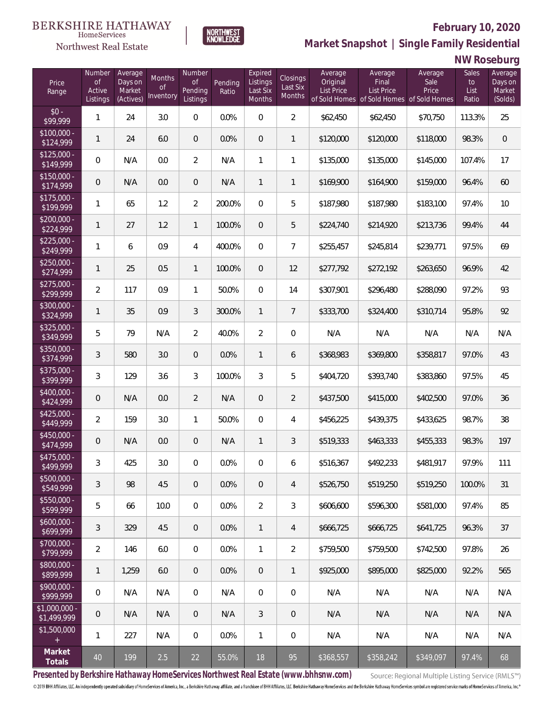

**NORTHWEST**<br>KNOWLEDGE

Northwest Real Estate

**Market Snapshot | Single Family Residential**

**NW Roseburg**

| Price<br>Range                | Number<br>$\circ f$<br>Active<br>Listings | Average<br>Days on<br>Market<br>(Actives) | Months<br>Οf<br>Inventory | Number<br><b>of</b><br>Pending<br>Listings | Pending<br>Ratio | Expired<br>Listings<br>Last Six<br><b>Months</b> | Closings<br>Last Six<br>Months | Average<br>Original<br><b>List Price</b> | Average<br>Final<br><b>List Price</b><br>of Sold Homes of Sold Homes of Sold Homes | Average<br>Sale<br>Price | Sales<br>to<br>List<br>Ratio | Average<br>Days on<br>Market<br>(Solds) |
|-------------------------------|-------------------------------------------|-------------------------------------------|---------------------------|--------------------------------------------|------------------|--------------------------------------------------|--------------------------------|------------------------------------------|------------------------------------------------------------------------------------|--------------------------|------------------------------|-----------------------------------------|
| $$0 -$<br>\$99,999            | 1                                         | 24                                        | 3.0                       | 0                                          | 0.0%             | $\overline{0}$                                   | $\overline{2}$                 | \$62,450                                 | \$62,450                                                                           | \$70,750                 | 113.3%                       | 25                                      |
| $$100,000 -$<br>\$124,999     | $\mathbf{1}$                              | 24                                        | 6.0                       | $\overline{0}$                             | 0.0%             | $\overline{0}$                                   | $\mathbf{1}$                   | \$120,000                                | \$120,000                                                                          | \$118,000                | 98.3%                        | $\overline{0}$                          |
| $$125,000 -$<br>\$149,999     | 0                                         | N/A                                       | 0.0                       | $\overline{2}$                             | N/A              | 1                                                | 1                              | \$135,000                                | \$135,000                                                                          | \$145,000                | 107.4%                       | 17                                      |
| $$150,000 -$<br>\$174,999     | 0                                         | N/A                                       | 0.0                       | 0                                          | N/A              | $\mathbf{1}$                                     | $\mathbf{1}$                   | \$169,900                                | \$164,900                                                                          | \$159,000                | 96.4%                        | 60                                      |
| $$175,000 -$<br>\$199,999     | 1                                         | 65                                        | 1.2                       | $\overline{2}$                             | 200.0%           | $\overline{0}$                                   | 5                              | \$187,980                                | \$187,980                                                                          | \$183,100                | 97.4%                        | 10                                      |
| $$200,000 -$<br>\$224,999     | 1                                         | 27                                        | 1.2                       | 1                                          | 100.0%           | $\overline{0}$                                   | 5                              | \$224,740                                | \$214,920                                                                          | \$213,736                | 99.4%                        | 44                                      |
| $$225,000 -$<br>\$249,999     | 1                                         | 6                                         | 0.9                       | 4                                          | 400.0%           | $\overline{0}$                                   | $\overline{7}$                 | \$255,457                                | \$245,814                                                                          | \$239,771                | 97.5%                        | 69                                      |
| $$250,000 -$<br>\$274,999     | 1                                         | 25                                        | 0.5                       | 1                                          | 100.0%           | $\overline{0}$                                   | 12                             | \$277,792                                | \$272,192                                                                          | \$263,650                | 96.9%                        | 42                                      |
| $$275,000 -$<br>\$299,999     | $\overline{2}$                            | 117                                       | 0.9                       | $\mathbf{1}$                               | 50.0%            | $\mathbf 0$                                      | 14                             | \$307,901                                | \$296,480                                                                          | \$288,090                | 97.2%                        | 93                                      |
| \$300,000 -<br>\$324,999      | $\mathbf{1}$                              | 35                                        | 0.9                       | 3                                          | 300.0%           | $\mathbf{1}$                                     | $7\overline{ }$                | \$333,700                                | \$324,400                                                                          | \$310,714                | 95.8%                        | 92                                      |
| $$325,000 -$<br>\$349,999     | 5                                         | 79                                        | N/A                       | $\overline{2}$                             | 40.0%            | $\overline{2}$                                   | $\boldsymbol{0}$               | N/A                                      | N/A                                                                                | N/A                      | N/A                          | N/A                                     |
| \$350,000 -<br>\$374,999      | 3                                         | 580                                       | 3.0                       | $\overline{0}$                             | 0.0%             | $\mathbf{1}$                                     | 6                              | \$368,983                                | \$369,800                                                                          | \$358,817                | 97.0%                        | 43                                      |
| \$375,000 -<br>\$399,999      | 3                                         | 129                                       | 3.6                       | 3                                          | 100.0%           | 3                                                | 5                              | \$404,720                                | \$393,740                                                                          | \$383,860                | 97.5%                        | 45                                      |
| \$400,000 -<br>\$424,999      | 0                                         | N/A                                       | 0.0                       | $\overline{2}$                             | N/A              | $\mathbf 0$                                      | $\overline{2}$                 | \$437,500                                | \$415,000                                                                          | \$402,500                | 97.0%                        | 36                                      |
| $$425,000 -$<br>\$449,999     | $\overline{2}$                            | 159                                       | 3.0                       | 1                                          | 50.0%            | $\mathbf 0$                                      | 4                              | \$456,225                                | \$439,375                                                                          | \$433,625                | 98.7%                        | 38                                      |
| \$450,000 -<br>\$474,999      | 0                                         | N/A                                       | 0.0                       | 0                                          | N/A              | $\mathbf{1}$                                     | 3                              | \$519,333                                | \$463,333                                                                          | \$455,333                | 98.3%                        | 197                                     |
| \$475,000 -<br>\$499,999      | $\mathfrak{Z}$                            | 425                                       | 3.0                       | 0                                          | 0.0%             | 0                                                | 6                              | \$516,367                                | \$492,233                                                                          | \$481,917                | 97.9%                        | 111                                     |
| $$500,000 -$<br>\$549,999     | 3                                         | 98                                        | 4.5                       | 0                                          | 0.0%             | $\overline{0}$                                   | 4                              | \$526,750                                | \$519,250                                                                          | \$519,250                | 100.0%                       | 31                                      |
| $$550,000 -$<br>\$599,999     | 5                                         | 66                                        | 10.0                      | $\overline{0}$                             | 0.0%             | $\overline{2}$                                   | 3                              | \$606,600                                | \$596,300                                                                          | \$581,000                | 97.4%                        | 85                                      |
| $$600,000 -$<br>\$699,999     | 3                                         | 329                                       | 4.5                       | $\overline{0}$                             | 0.0%             | $\mathbf{1}$                                     | 4                              | \$666,725                                | \$666,725                                                                          | \$641,725                | 96.3%                        | 37                                      |
| $$700,000 -$<br>\$799,999     | $\overline{2}$                            | 146                                       | 6.0                       | $\boldsymbol{0}$                           | 0.0%             | 1                                                | $\overline{2}$                 | \$759,500                                | \$759,500                                                                          | \$742,500                | 97.8%                        | 26                                      |
| \$800,000 -<br>\$899,999      | $\mathbf{1}$                              | 1,259                                     | 6.0                       | $\overline{0}$                             | 0.0%             | $\overline{0}$                                   | $\mathbf{1}$                   | \$925,000                                | \$895,000                                                                          | \$825,000                | 92.2%                        | 565                                     |
| \$900,000 -<br>\$999,999      | 0                                         | N/A                                       | N/A                       | $\boldsymbol{0}$                           | N/A              | $\mathbf 0$                                      | 0                              | N/A                                      | N/A                                                                                | N/A                      | N/A                          | N/A                                     |
| $$1,000,000$ -<br>\$1,499,999 | 0                                         | N/A                                       | N/A                       | $\overline{0}$                             | N/A              | 3                                                | $\overline{0}$                 | N/A                                      | N/A                                                                                | N/A                      | N/A                          | N/A                                     |
| \$1,500,000                   | 1                                         | 227                                       | N/A                       | $\overline{0}$                             | 0.0%             | $\mathbf{1}$                                     | 0                              | N/A                                      | N/A                                                                                | N/A                      | N/A                          | N/A                                     |
| Market<br>Totals              | $40\,$                                    | 199                                       | 2.5                       | 22                                         | 55.0%            | 18                                               | 95                             | \$368,557                                | \$358,242                                                                          | \$349,097                | 97.4%                        | 68                                      |

**Presented by Berkshire Hathaway HomeServices Northwest Real Estate (www.bhhsnw.com)**

Source: Regional Multiple Listing Service (RMLS™)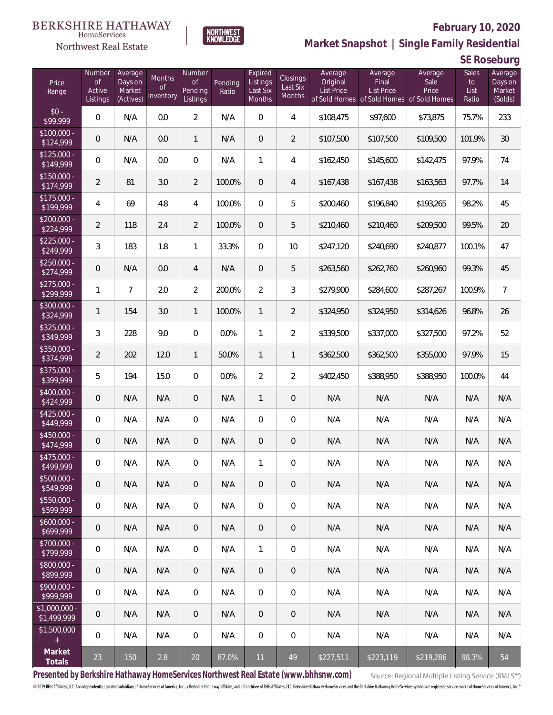### Northwest Real Estate



# **February 10, 2020**

**Market Snapshot | Single Family Residential**

**SE Roseburg**

| Price<br>Range               | Number<br><b>of</b><br>Active<br>Listings | Average<br>Days on<br>Market<br>(Actives) | Months<br><b>of</b><br>Inventory | Number<br><b>of</b><br>Pending<br>Listings | Pending<br>Ratio | Expired<br>Listings<br>Last Six<br>Months | Closings<br>Last Six<br>Months | Average<br>Original<br><b>List Price</b> | Average<br>Final<br><b>List Price</b><br>of Sold Homes of Sold Homes of Sold Homes | Average<br>Sale<br>Price | Sales<br>to<br>List<br>Ratio | Average<br>Days on<br>Market<br>(Solds) |
|------------------------------|-------------------------------------------|-------------------------------------------|----------------------------------|--------------------------------------------|------------------|-------------------------------------------|--------------------------------|------------------------------------------|------------------------------------------------------------------------------------|--------------------------|------------------------------|-----------------------------------------|
| $$0 -$<br>\$99,999           | 0                                         | N/A                                       | 0.0                              | $\overline{2}$                             | N/A              | $\overline{0}$                            | $\overline{4}$                 | \$108,475                                | \$97,600                                                                           | \$73,875                 | 75.7%                        | 233                                     |
| $$100,000 -$<br>\$124,999    | 0                                         | N/A                                       | 0.0                              | $\mathbf{1}$                               | N/A              | $\overline{0}$                            | 2                              | \$107,500                                | \$107,500                                                                          | \$109,500                | 101.9%                       | 30                                      |
| $$125,000 -$<br>\$149,999    | 0                                         | N/A                                       | 0.0                              | $\overline{0}$                             | N/A              | $\mathbf{1}$                              | $\overline{4}$                 | \$162,450                                | \$145,600                                                                          | \$142,475                | 97.9%                        | 74                                      |
| $$150,000 -$<br>\$174,999    | $\overline{2}$                            | 81                                        | 3.0                              | $\overline{2}$                             | 100.0%           | $\overline{0}$                            | $\overline{4}$                 | \$167,438                                | \$167,438                                                                          | \$163,563                | 97.7%                        | 14                                      |
| $$175,000 -$<br>\$199,999    | $\overline{4}$                            | 69                                        | 4.8                              | $\overline{4}$                             | 100.0%           | $\overline{0}$                            | 5                              | \$200,460                                | \$196,840                                                                          | \$193,265                | 98.2%                        | 45                                      |
| $$200,000 -$<br>\$224,999    | $\overline{2}$                            | 118                                       | 2.4                              | $\overline{2}$                             | 100.0%           | $\overline{0}$                            | 5                              | \$210,460                                | \$210,460                                                                          | \$209,500                | 99.5%                        | 20                                      |
| $$225,000 -$<br>\$249,999    | $\mathfrak{Z}$                            | 183                                       | 1.8                              | $\mathbf{1}$                               | 33.3%            | $\overline{0}$                            | 10                             | \$247,120                                | \$240,690                                                                          | \$240,877                | 100.1%                       | 47                                      |
| $$250,000 -$<br>\$274,999    | 0                                         | N/A                                       | 0.0                              | $\overline{4}$                             | N/A              | $\overline{0}$                            | 5                              | \$263,560                                | \$262,760                                                                          | \$260,960                | 99.3%                        | 45                                      |
| $$275,000 -$<br>\$299,999    | $\mathbf{1}$                              | $\overline{7}$                            | 2.0                              | $\overline{2}$                             | 200.0%           | $\overline{2}$                            | 3                              | \$279,900                                | \$284,600                                                                          | \$287,267                | 100.9%                       | $\overline{7}$                          |
| $$300,000 -$<br>\$324,999    | $\mathbf{1}$                              | 154                                       | 3.0                              | $\mathbf{1}$                               | 100.0%           | $\mathbf{1}$                              | $\overline{2}$                 | \$324,950                                | \$324,950                                                                          | \$314,626                | 96.8%                        | 26                                      |
| $$325,000 -$<br>\$349,999    | 3                                         | 228                                       | 9.0                              | $\Omega$                                   | 0.0%             | $\mathbf{1}$                              | $\overline{2}$                 | \$339,500                                | \$337,000                                                                          | \$327,500                | 97.2%                        | 52                                      |
| $$350,000 -$<br>\$374,999    | $\overline{2}$                            | 202                                       | 12.0                             | $\mathbf{1}$                               | 50.0%            | $\mathbf{1}$                              | $\mathbf{1}$                   | \$362,500                                | \$362,500                                                                          | \$355,000                | 97.9%                        | 15                                      |
| $$375,000 -$<br>\$399,999    | 5                                         | 194                                       | 15.0                             | $\overline{0}$                             | 0.0%             | $\overline{2}$                            | $\overline{2}$                 | \$402,450                                | \$388,950                                                                          | \$388,950                | 100.0%                       | 44                                      |
| $$400,000 -$<br>\$424,999    | 0                                         | N/A                                       | N/A                              | $\overline{0}$                             | N/A              | $\mathbf{1}$                              | $\overline{0}$                 | N/A                                      | N/A                                                                                | N/A                      | N/A                          | N/A                                     |
| $$425,000 -$<br>\$449,999    | 0                                         | N/A                                       | N/A                              | $\overline{0}$                             | N/A              | $\overline{0}$                            | $\overline{0}$                 | N/A                                      | N/A                                                                                | N/A                      | N/A                          | N/A                                     |
| $$450,000 -$<br>\$474,999    | 0                                         | N/A                                       | N/A                              | $\overline{0}$                             | N/A              | $\overline{0}$                            | $\overline{0}$                 | N/A                                      | N/A                                                                                | N/A                      | N/A                          | N/A                                     |
| $$475,000 -$<br>\$499,999    | 0                                         | N/A                                       | N/A                              | $\overline{0}$                             | N/A              | $\mathbf{1}$                              | $\mathbf 0$                    | N/A                                      | N/A                                                                                | N/A                      | N/A                          | N/A                                     |
| $$500,000 -$<br>\$549,999    | $\mathbf 0$                               | N/A                                       | N/A                              | $\mathbf 0$                                | N/A              | $\,0\,$                                   | $\mathbf 0$                    | N/A                                      | N/A                                                                                | N/A                      | N/A                          | N/A                                     |
| $$550,000 -$<br>\$599,999    | 0                                         | N/A                                       | N/A                              | $\mathbf 0$                                | N/A              | $\mathbf 0$                               | $\boldsymbol{0}$               | N/A                                      | N/A                                                                                | N/A                      | N/A                          | N/A                                     |
| $$600,000 -$<br>\$699,999    | 0                                         | N/A                                       | N/A                              | $\overline{0}$                             | N/A              | $\sqrt{0}$                                | $\mathbf 0$                    | N/A                                      | N/A                                                                                | N/A                      | N/A                          | N/A                                     |
| \$700,000 -<br>\$799,999     | 0                                         | N/A                                       | N/A                              | $\overline{0}$                             | N/A              | $\mathbf{1}$                              | 0                              | N/A                                      | N/A                                                                                | N/A                      | N/A                          | N/A                                     |
| \$800,000 -<br>\$899,999     | 0                                         | N/A                                       | N/A                              | $\mathbf 0$                                | N/A              | $\sqrt{0}$                                | $\mathbf 0$                    | N/A                                      | N/A                                                                                | N/A                      | N/A                          | N/A                                     |
| $$900.000 -$<br>\$999,999    | 0                                         | N/A                                       | N/A                              | $\overline{0}$                             | N/A              | $\mathbf 0$                               | $\mathbf 0$                    | N/A                                      | N/A                                                                                | N/A                      | N/A                          | N/A                                     |
| \$1,000,000 -<br>\$1,499,999 | 0                                         | N/A                                       | N/A                              | $\overline{0}$                             | N/A              | $\sqrt{0}$                                | $\overline{0}$                 | N/A                                      | N/A                                                                                | N/A                      | N/A                          | N/A                                     |
| \$1,500,000<br>$\pm$         | 0                                         | N/A                                       | N/A                              | $\mathbf 0$                                | N/A              | $\mathbf 0$                               | $\mathbf 0$                    | N/A                                      | N/A                                                                                | N/A                      | N/A                          | N/A                                     |
| Market<br>Totals             | 23                                        | 150                                       | 2.8                              | 20                                         | 87.0%            | 11                                        | 49                             | \$227,511                                | \$223,119                                                                          | \$219,286                | 98.3%                        | 54                                      |

**Presented by Berkshire Hathaway HomeServices Northwest Real Estate (www.bhhsnw.com)**

Source: Regional Multiple Listing Service (RMLS™)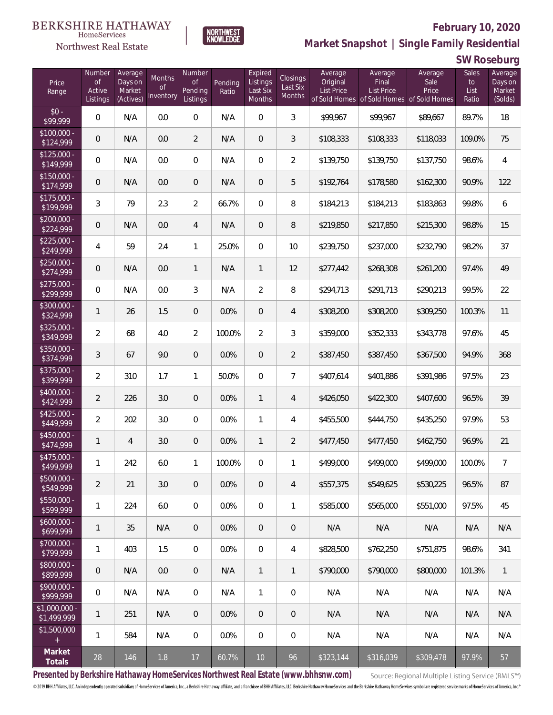

**NORTHWEST**<br>KNOWLEDGE

**Market Snapshot | Single Family Residential**

### **SW Roseburg**

| Price<br>Range                | Number<br>of<br>Active<br>Listings | Average<br>Days on<br>Market<br>(Actives) | Months<br>0f<br>Inventory | Number<br><b>of</b><br>Pending<br>Listings | Pending<br>Ratio | Expired<br>Listings<br>Last Six<br>Months | Closings<br>Last Six<br>Months | Average<br>Original<br><b>List Price</b> | Average<br>Final<br>List Price<br>of Sold Homes of Sold Homes | Average<br>Sale<br>Price<br>of Sold Homes | Sales<br>to<br>List<br>Ratio | Average<br>Days on<br>Market<br>(Solds) |
|-------------------------------|------------------------------------|-------------------------------------------|---------------------------|--------------------------------------------|------------------|-------------------------------------------|--------------------------------|------------------------------------------|---------------------------------------------------------------|-------------------------------------------|------------------------------|-----------------------------------------|
| $$0 -$<br>\$99,999            | $\overline{0}$                     | N/A                                       | 0.0                       | $\overline{0}$                             | N/A              | $\overline{0}$                            | 3                              | \$99,967                                 | \$99,967                                                      | \$89,667                                  | 89.7%                        | 18                                      |
| $$100,000 -$<br>\$124,999     | 0                                  | N/A                                       | 0.0                       | $\overline{2}$                             | N/A              | $\overline{0}$                            | 3                              | \$108,333                                | \$108,333                                                     | \$118,033                                 | 109.0%                       | 75                                      |
| $$125,000 -$<br>\$149,999     | $\overline{0}$                     | N/A                                       | 0.0                       | $\overline{0}$                             | N/A              | $\overline{0}$                            | $\overline{2}$                 | \$139,750                                | \$139,750                                                     | \$137,750                                 | 98.6%                        | $\overline{4}$                          |
| $$150,000 -$<br>\$174,999     | 0                                  | N/A                                       | 0.0                       | $\overline{0}$                             | N/A              | $\overline{0}$                            | 5                              | \$192,764                                | \$178,580                                                     | \$162,300                                 | 90.9%                        | 122                                     |
| $$175,000 -$<br>\$199,999     | 3                                  | 79                                        | 2.3                       | $\overline{2}$                             | 66.7%            | $\overline{0}$                            | 8                              | \$184,213                                | \$184,213                                                     | \$183,863                                 | 99.8%                        | 6                                       |
| $$200,000 -$<br>\$224,999     | 0                                  | N/A                                       | 0.0                       | 4                                          | N/A              | $\overline{0}$                            | 8                              | \$219,850                                | \$217,850                                                     | \$215,300                                 | 98.8%                        | 15                                      |
| $$225,000 -$<br>\$249,999     | 4                                  | 59                                        | 2.4                       | $\mathbf{1}$                               | 25.0%            | $\overline{0}$                            | 10                             | \$239,750                                | \$237,000                                                     | \$232,790                                 | 98.2%                        | 37                                      |
| $$250,000 -$<br>\$274,999     | 0                                  | N/A                                       | 0.0                       | $\mathbf{1}$                               | N/A              | $\mathbf{1}$                              | 12                             | \$277,442                                | \$268,308                                                     | \$261,200                                 | 97.4%                        | 49                                      |
| $$275,000 -$<br>\$299,999     | $\overline{0}$                     | N/A                                       | 0.0                       | 3                                          | N/A              | $\overline{2}$                            | 8                              | \$294,713                                | \$291,713                                                     | \$290,213                                 | 99.5%                        | 22                                      |
| $$300,000 -$<br>\$324,999     | 1                                  | 26                                        | 1.5                       | $\overline{0}$                             | 0.0%             | $\overline{0}$                            | $\overline{4}$                 | \$308,200                                | \$308,200                                                     | \$309,250                                 | 100.3%                       | 11                                      |
| $$325,000 -$<br>\$349,999     | $\overline{2}$                     | 68                                        | 4.0                       | $\overline{2}$                             | 100.0%           | $\overline{2}$                            | 3                              | \$359,000                                | \$352,333                                                     | \$343,778                                 | 97.6%                        | 45                                      |
| $$350,000 -$<br>\$374,999     | 3                                  | 67                                        | 9.0                       | $\overline{0}$                             | 0.0%             | $\overline{0}$                            | $\overline{2}$                 | \$387,450                                | \$387,450                                                     | \$367,500                                 | 94.9%                        | 368                                     |
| $$375,000 -$<br>\$399,999     | $\overline{a}$                     | 310                                       | 1.7                       | $\mathbf{1}$                               | 50.0%            | $\overline{0}$                            | $\overline{7}$                 | \$407,614                                | \$401,886                                                     | \$391,986                                 | 97.5%                        | 23                                      |
| $$400,000 -$<br>\$424,999     | $\overline{2}$                     | 226                                       | 3.0                       | $\overline{0}$                             | 0.0%             | $\mathbf{1}$                              | $\overline{4}$                 | \$426,050                                | \$422,300                                                     | \$407,600                                 | 96.5%                        | 39                                      |
| $$425,000 -$<br>\$449,999     | $\overline{2}$                     | 202                                       | 3.0                       | $\overline{0}$                             | 0.0%             | $\mathbf{1}$                              | $\overline{4}$                 | \$455,500                                | \$444,750                                                     | \$435,250                                 | 97.9%                        | 53                                      |
| $$450,000 -$<br>\$474,999     | 1                                  | $\overline{4}$                            | 3.0                       | $\overline{0}$                             | 0.0%             | $\mathbf{1}$                              | $\overline{2}$                 | \$477,450                                | \$477,450                                                     | \$462,750                                 | 96.9%                        | 21                                      |
| $$475,000 -$<br>\$499,999     | 1                                  | 242                                       | 6.0                       | $\mathbf{1}$                               | 100.0%           | $\boldsymbol{0}$                          | 1                              | \$499,000                                | \$499,000                                                     | \$499,000                                 | 100.0%                       | $\overline{7}$                          |
| $$500,000 -$<br>\$549,999     | $\overline{2}$                     | 21                                        | 3.0                       | $\overline{0}$                             | 0.0%             | $\overline{0}$                            | 4                              | \$557,375                                | \$549,625                                                     | \$530,225                                 | 96.5%                        | 87                                      |
| $$550,000 -$<br>\$599,999     | 1                                  | 224                                       | 6.0                       | $\mathbf 0$                                | 0.0%             | $\overline{0}$                            | 1                              | \$585,000                                | \$565,000                                                     | \$551,000                                 | 97.5%                        | 45                                      |
| $$600,000 -$<br>\$699,999     | 1                                  | 35                                        | N/A                       | $\overline{0}$                             | 0.0%             | $\overline{0}$                            | $\mathbf 0$                    | N/A                                      | N/A                                                           | N/A                                       | N/A                          | N/A                                     |
| $$700,000 -$<br>\$799,999     | 1                                  | 403                                       | 1.5                       | $\mathbf 0$                                | 0.0%             | $\boldsymbol{0}$                          | 4                              | \$828,500                                | \$762,250                                                     | \$751,875                                 | 98.6%                        | 341                                     |
| \$800,000 -<br>\$899,999      | $\overline{0}$                     | N/A                                       | 0.0                       | $\overline{0}$                             | N/A              | $\mathbf{1}$                              | $\mathbf{1}$                   | \$790,000                                | \$790,000                                                     | \$800,000                                 | 101.3%                       | $\mathbf{1}$                            |
| $$900,000 -$<br>\$999,999     | $\,0\,$                            | N/A                                       | N/A                       | $\boldsymbol{0}$                           | N/A              | $\mathbf{1}$                              | 0                              | N/A                                      | N/A                                                           | N/A                                       | N/A                          | N/A                                     |
| $$1,000,000$ -<br>\$1,499,999 | 1                                  | 251                                       | N/A                       | $\overline{0}$                             | 0.0%             | $\overline{0}$                            | $\mathbf 0$                    | N/A                                      | N/A                                                           | N/A                                       | N/A                          | N/A                                     |
| \$1,500,000<br>$+$            | 1                                  | 584                                       | N/A                       | $\overline{0}$                             | 0.0%             | $\mathbf 0$                               | 0                              | N/A                                      | N/A                                                           | N/A                                       | N/A                          | N/A                                     |
| Market<br>Totals              | 28                                 | 146                                       | 1.8                       | 17                                         | 60.7%            | $10$                                      | 96                             | \$323,144                                | \$316,039                                                     | \$309,478                                 | 97.9%                        | 57                                      |

**Presented by Berkshire Hathaway HomeServices Northwest Real Estate (www.bhhsnw.com)**

Source: Regional Multiple Listing Service (RMLS™)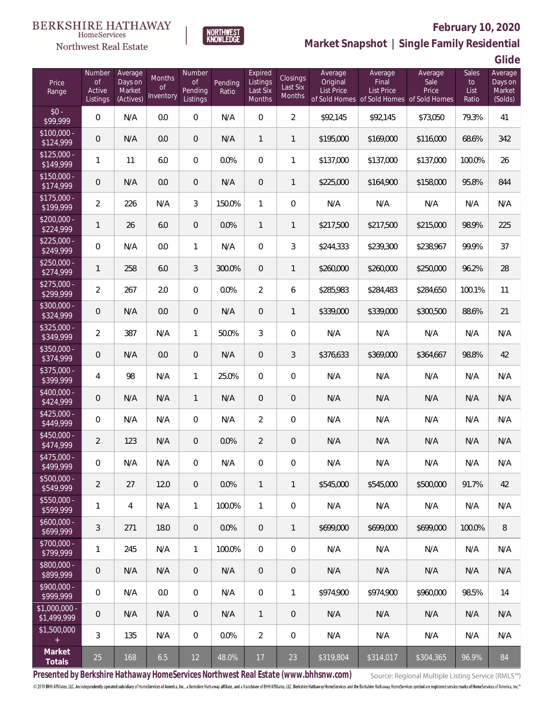



## **February 10, 2020**

**Market Snapshot | Single Family Residential**

**Glide**

| Price<br>Range                | Number<br>of<br>Active<br>Listings | Average<br>Days on<br>Market<br>(Actives) | Months<br><b>of</b><br>Inventory | Number<br><b>of</b><br>Pending<br>Listings | Pending<br>Ratio | Expired<br>Listings<br>Last Six<br>Months | <b>Closings</b><br>Last Six<br><b>Months</b> | Average<br>Original<br>List Price | Average<br>Final<br>List Price<br>of Sold Homes of Sold Homes | Average<br>Sale<br>Price<br>of Sold Homes | <b>Sales</b><br>to<br>List<br>Ratio | Average<br>Days on<br>Market<br>(Solds) |
|-------------------------------|------------------------------------|-------------------------------------------|----------------------------------|--------------------------------------------|------------------|-------------------------------------------|----------------------------------------------|-----------------------------------|---------------------------------------------------------------|-------------------------------------------|-------------------------------------|-----------------------------------------|
| $$0 -$<br>\$99,999            | $\mathbf 0$                        | N/A                                       | 0.0                              | $\mathbf 0$                                | N/A              | $\mathbf 0$                               | $\overline{2}$                               | \$92,145                          | \$92,145                                                      | \$73,050                                  | 79.3%                               | 41                                      |
| $$100,000 -$<br>\$124,999     | $\mathbf 0$                        | N/A                                       | 0.0                              | $\mathbf 0$                                | N/A              | $\mathbf{1}$                              | $\mathbf{1}$                                 | \$195,000                         | \$169,000                                                     | \$116,000                                 | 68.6%                               | 342                                     |
| $$125,000 -$<br>\$149,999     | 1                                  | 11                                        | 6.0                              | $\overline{0}$                             | 0.0%             | $\boldsymbol{0}$                          | 1                                            | \$137,000                         | \$137,000                                                     | \$137,000                                 | 100.0%                              | 26                                      |
| $$150,000 -$<br>\$174,999     | 0                                  | N/A                                       | 0.0                              | $\mathbf 0$                                | N/A              | $\mathbf 0$                               | $\mathbf{1}$                                 | \$225,000                         | \$164,900                                                     | \$158,000                                 | 95.8%                               | 844                                     |
| $$175,000 -$<br>\$199,999     | $\overline{2}$                     | 226                                       | N/A                              | 3                                          | 150.0%           | $\mathbf{1}$                              | $\mathbf 0$                                  | N/A                               | N/A                                                           | N/A                                       | N/A                                 | N/A                                     |
| $$200,000 -$<br>\$224,999     | 1                                  | 26                                        | 6.0                              | $\mathbf 0$                                | 0.0%             | $\mathbf{1}$                              | $\mathbf{1}$                                 | \$217,500                         | \$217,500                                                     | \$215,000                                 | 98.9%                               | 225                                     |
| $$225,000 -$<br>\$249,999     | $\mathbf 0$                        | N/A                                       | 0.0                              | $\mathbf{1}$                               | N/A              | $\boldsymbol{0}$                          | 3                                            | \$244,333                         | \$239,300                                                     | \$238,967                                 | 99.9%                               | 37                                      |
| $$250,000 -$<br>\$274,999     | 1                                  | 258                                       | 6.0                              | 3                                          | 300.0%           | $\mathbf 0$                               | $\mathbf{1}$                                 | \$260,000                         | \$260,000                                                     | \$250,000                                 | 96.2%                               | 28                                      |
| $$275,000 -$<br>\$299,999     | $\overline{2}$                     | 267                                       | 2.0                              | $\overline{0}$                             | 0.0%             | $\overline{2}$                            | 6                                            | \$285,983                         | \$284,483                                                     | \$284,650                                 | 100.1%                              | 11                                      |
| \$300,000 -<br>\$324,999      | $\mathsf{O}\xspace$                | N/A                                       | 0.0                              | $\mathbf 0$                                | N/A              | $\mathbf 0$                               | $\mathbf{1}$                                 | \$339,000                         | \$339,000                                                     | \$300,500                                 | 88.6%                               | 21                                      |
| $$325,000 -$<br>\$349,999     | $\overline{2}$                     | 387                                       | N/A                              | $\mathbf{1}$                               | 50.0%            | $\mathfrak{Z}$                            | $\mathbf 0$                                  | N/A                               | N/A                                                           | N/A                                       | N/A                                 | N/A                                     |
| \$350,000 -<br>\$374,999      | $\mathbf 0$                        | N/A                                       | 0.0                              | $\mathbf 0$                                | N/A              | $\boldsymbol{0}$                          | 3                                            | \$376,633                         | \$369,000                                                     | \$364,667                                 | 98.8%                               | 42                                      |
| \$375,000 -<br>\$399,999      | 4                                  | 98                                        | N/A                              | $\mathbf{1}$                               | 25.0%            | $\overline{0}$                            | $\mathbf 0$                                  | N/A                               | N/A                                                           | N/A                                       | N/A                                 | N/A                                     |
| $$400,000 -$<br>\$424,999     | $\mathsf{O}\xspace$                | N/A                                       | N/A                              | $\mathbf{1}$                               | N/A              | $\mathbf 0$                               | $\mathbf 0$                                  | N/A                               | N/A                                                           | N/A                                       | N/A                                 | N/A                                     |
| $$425,000 -$<br>\$449,999     | $\mathbf 0$                        | N/A                                       | N/A                              | $\overline{0}$                             | N/A              | $\overline{2}$                            | $\mathbf 0$                                  | N/A                               | N/A                                                           | N/A                                       | N/A                                 | N/A                                     |
| \$450,000 -<br>\$474,999      | $\overline{2}$                     | 123                                       | N/A                              | $\overline{0}$                             | 0.0%             | $\overline{2}$                            | $\mathbf 0$                                  | N/A                               | N/A                                                           | N/A                                       | N/A                                 | N/A                                     |
| \$475,000 -<br>\$499,999      | 0                                  | N/A                                       | N/A                              | 0                                          | N/A              | $\overline{0}$                            | 0                                            | N/A                               | N/A                                                           | N/A                                       | N/A                                 | N/A                                     |
| $$500,000 -$<br>\$549,999     | $\overline{a}$                     | 27                                        | 12.0                             | $\mathbf 0$                                | 0.0%             | $\mathbf{1}$                              | $\mathbf{1}$                                 | \$545,000                         | \$545,000                                                     | \$500,000                                 | 91.7%                               | 42                                      |
| $$550,000 -$<br>\$599,999     | 1                                  | $\overline{4}$                            | N/A                              | $\mathbf{1}$                               | 100.0%           | $\mathbf{1}$                              | 0                                            | N/A                               | N/A                                                           | N/A                                       | N/A                                 | N/A                                     |
| $$600,000 -$<br>\$699,999     | 3                                  | 271                                       | 18.0                             | $\mathbf 0$                                | 0.0%             | $\mathbf 0$                               | $\mathbf{1}$                                 | \$699,000                         | \$699,000                                                     | \$699,000                                 | 100.0%                              | $\, 8$                                  |
| $$700,000 -$<br>\$799,999     | 1                                  | 245                                       | N/A                              | $\mathbf{1}$                               | 100.0%           | $\overline{0}$                            | 0                                            | N/A                               | N/A                                                           | N/A                                       | N/A                                 | N/A                                     |
| \$800,000 -<br>\$899,999      | 0                                  | N/A                                       | N/A                              | $\mathbf 0$                                | N/A              | $\mathbf 0$                               | 0                                            | N/A                               | N/A                                                           | N/A                                       | N/A                                 | N/A                                     |
| $$900,000 -$<br>\$999,999     | 0                                  | N/A                                       | 0.0                              | $\mathbf 0$                                | N/A              | $\mathbf 0$                               | $\mathbf{1}$                                 | \$974,900                         | \$974,900                                                     | \$960,000                                 | 98.5%                               | 14                                      |
| $$1,000,000 -$<br>\$1,499,999 | 0                                  | N/A                                       | N/A                              | $\mathbf 0$                                | N/A              | $\overline{1}$                            | 0                                            | N/A                               | N/A                                                           | N/A                                       | N/A                                 | N/A                                     |
| \$1,500,000<br>$\pm$          | 3                                  | 135                                       | N/A                              | $\mathbf 0$                                | 0.0%             | $\overline{2}$                            | 0                                            | N/A                               | N/A                                                           | N/A                                       | N/A                                 | N/A                                     |
| Market<br>Totals              | 25                                 | 168                                       | 6.5                              | 12                                         | 48.0%            | 17                                        | 23                                           | \$319,804                         | \$314,017                                                     | \$304,365                                 | 96.9%                               | 84                                      |

**Presented by Berkshire Hathaway HomeServices Northwest Real Estate (www.bhhsnw.com)**

Source: Regional Multiple Listing Service (RMLS™)

a s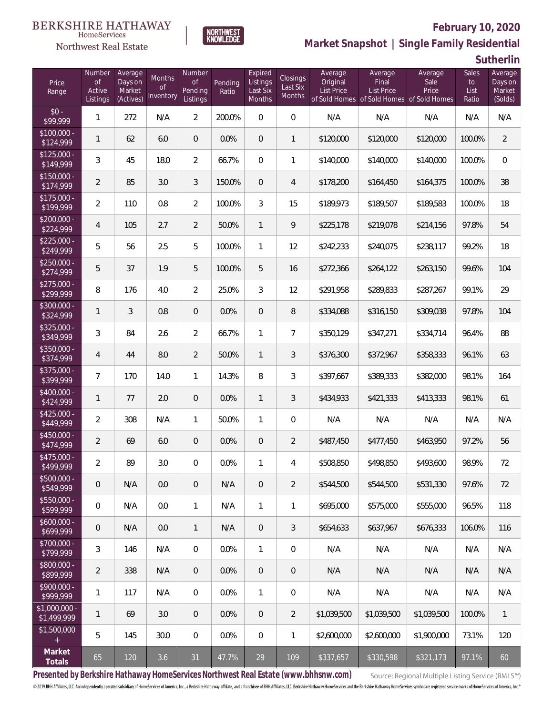

**NORTHWEST**<br>KNOWLEDGE

Northwest Real Estate

**Market Snapshot | Single Family Residential**

**Sutherlin**

| Price<br>Range                | Number<br>$\mathsf{of}$<br>Active<br>Listings | Average<br>Days on<br>Market<br>(Actives) | Months<br>Οf<br>Inventory | Number<br>Οf<br>Pending<br>Listings | Pending<br>Ratio | Expired<br>Listings<br>Last Six<br>Months | Closings<br>Last Six<br><b>Months</b> | Average<br>Original<br><b>List Price</b> | Average<br>Final<br>List Price<br>of Sold Homes of Sold Homes of Sold Homes | Average<br>Sale<br>Price | Sales<br>to<br>List<br>Ratio | Average<br>Days on<br>Market<br>(Solds) |
|-------------------------------|-----------------------------------------------|-------------------------------------------|---------------------------|-------------------------------------|------------------|-------------------------------------------|---------------------------------------|------------------------------------------|-----------------------------------------------------------------------------|--------------------------|------------------------------|-----------------------------------------|
| $$0 -$<br>\$99,999            | $\mathbf{1}$                                  | 272                                       | N/A                       | $\overline{2}$                      | 200.0%           | $\overline{0}$                            | $\mathbf{0}$                          | N/A                                      | N/A                                                                         | N/A                      | N/A                          | N/A                                     |
| $$100,000 -$<br>\$124,999     | 1                                             | 62                                        | 6.0                       | $\overline{0}$                      | 0.0%             | $\overline{0}$                            | 1                                     | \$120,000                                | \$120,000                                                                   | \$120,000                | 100.0%                       | $\overline{2}$                          |
| $$125,000 -$<br>\$149,999     | 3                                             | 45                                        | 18.0                      | $\overline{2}$                      | 66.7%            | $\overline{0}$                            | 1                                     | \$140,000                                | \$140,000                                                                   | \$140,000                | 100.0%                       | $\mathbf 0$                             |
| $$150.000 -$<br>\$174,999     | $\overline{2}$                                | 85                                        | 3.0                       | 3                                   | 150.0%           | $\overline{0}$                            | $\overline{4}$                        | \$178,200                                | \$164,450                                                                   | \$164,375                | 100.0%                       | 38                                      |
| $$175,000 -$<br>\$199,999     | $\overline{2}$                                | 110                                       | 0.8                       | $\overline{2}$                      | 100.0%           | 3                                         | 15                                    | \$189,973                                | \$189,507                                                                   | \$189,583                | 100.0%                       | 18                                      |
| $$200,000 -$<br>\$224,999     | 4                                             | 105                                       | 2.7                       | $\overline{2}$                      | 50.0%            | $\mathbf{1}$                              | 9                                     | \$225,178                                | \$219,078                                                                   | \$214,156                | 97.8%                        | 54                                      |
| $$225,000 -$<br>\$249,999     | 5                                             | 56                                        | 2.5                       | 5                                   | 100.0%           | $\mathbf{1}$                              | 12                                    | \$242,233                                | \$240,075                                                                   | \$238,117                | 99.2%                        | 18                                      |
| $$250,000 -$<br>\$274,999     | 5                                             | 37                                        | 1.9                       | 5                                   | 100.0%           | 5                                         | 16                                    | \$272,366                                | \$264,122                                                                   | \$263,150                | 99.6%                        | 104                                     |
| $$275,000 -$<br>\$299,999     | 8                                             | 176                                       | 4.0                       | $\overline{2}$                      | 25.0%            | 3                                         | 12                                    | \$291,958                                | \$289,833                                                                   | \$287,267                | 99.1%                        | 29                                      |
| \$300,000 -<br>\$324,999      | 1                                             | 3                                         | 0.8                       | $\mathbf 0$                         | 0.0%             | $\mathbf 0$                               | 8                                     | \$334,088                                | \$316,150                                                                   | \$309,038                | 97.8%                        | 104                                     |
| $$325,000 -$<br>\$349,999     | 3                                             | 84                                        | 2.6                       | $\overline{2}$                      | 66.7%            | 1                                         | $\overline{7}$                        | \$350,129                                | \$347,271                                                                   | \$334,714                | 96.4%                        | 88                                      |
| \$350,000 -<br>\$374,999      | 4                                             | 44                                        | 8.0                       | $\overline{2}$                      | 50.0%            | $\mathbf{1}$                              | 3                                     | \$376,300                                | \$372,967                                                                   | \$358,333                | 96.1%                        | 63                                      |
| \$375,000 -<br>\$399,999      | $\overline{7}$                                | 170                                       | 14.0                      | $\mathbf{1}$                        | 14.3%            | 8                                         | 3                                     | \$397,667                                | \$389,333                                                                   | \$382,000                | 98.1%                        | 164                                     |
| \$400,000 -<br>\$424,999      | 1                                             | 77                                        | 2.0                       | $\boldsymbol{0}$                    | 0.0%             | $\mathbf{1}$                              | 3                                     | \$434,933                                | \$421,333                                                                   | \$413,333                | 98.1%                        | 61                                      |
| $$425,000 -$<br>\$449,999     | $\overline{2}$                                | 308                                       | N/A                       | $\mathbf{1}$                        | 50.0%            | 1                                         | $\mathbf 0$                           | N/A                                      | N/A                                                                         | N/A                      | N/A                          | N/A                                     |
| $$450,000 -$<br>\$474,999     | $\overline{2}$                                | 69                                        | 6.0                       | $\mathbf 0$                         | 0.0%             | $\mathbf 0$                               | $\overline{2}$                        | \$487,450                                | \$477,450                                                                   | \$463,950                | 97.2%                        | 56                                      |
| \$475,000 -<br>\$499,999      | $\overline{2}$                                | 89                                        | 3.0                       | 0                                   | 0.0%             | 1                                         | 4                                     | \$508,850                                | \$498,850                                                                   | \$493,600                | 98.9%                        | 72                                      |
| $$500,000 -$<br>\$549,999     | $\theta$                                      | N/A                                       | 0.0                       | $\theta$                            | N/A              | $\theta$                                  | $\overline{2}$                        | \$544,500                                | \$544,500                                                                   | \$531,330                | 97.6%                        | 72                                      |
| $$550,000 -$<br>\$599,999     | 0                                             | N/A                                       | 0.0                       | $\mathbf{1}$                        | N/A              | $\mathbf{1}$                              | 1                                     | \$695,000                                | \$575,000                                                                   | \$555,000                | 96.5%                        | 118                                     |
| $$600,000 -$<br>\$699,999     | $\mathbf 0$                                   | N/A                                       | 0.0                       | $\mathbf{1}$                        | N/A              | $\sqrt{2}$                                | 3                                     | \$654,633                                | \$637,967                                                                   | \$676,333                | 106.0%                       | 116                                     |
| \$700,000 -<br>\$799,999      | 3                                             | 146                                       | N/A                       | $\mathbf 0$                         | 0.0%             | $\mathbf{1}$                              | $\overline{0}$                        | N/A                                      | N/A                                                                         | N/A                      | N/A                          | N/A                                     |
| \$800,000 -<br>\$899,999      | 2                                             | 338                                       | N/A                       | $\overline{0}$                      | 0.0%             | $\sqrt{2}$                                | $\overline{0}$                        | N/A                                      | N/A                                                                         | N/A                      | N/A                          | N/A                                     |
| \$900,000 -<br>\$999,999      | 1                                             | 117                                       | N/A                       | $\mathbf 0$                         | 0.0%             | $\mathbf{1}$                              | 0                                     | N/A                                      | N/A                                                                         | N/A                      | N/A                          | N/A                                     |
| $$1,000,000 -$<br>\$1,499,999 | 1                                             | 69                                        | 3.0                       | $\overline{0}$                      | 0.0%             | $\theta$                                  | $\overline{2}$                        | \$1,039,500                              | \$1,039,500                                                                 | \$1,039,500              | 100.0%                       | $\overline{1}$                          |
| \$1,500,000                   | 5                                             | 145                                       | 30.0                      | $\mathbf 0$                         | 0.0%             | $\mathbf 0$                               | 1                                     | \$2,600,000                              | \$2,600,000                                                                 | \$1,900,000              | 73.1%                        | 120                                     |
| Market<br>Totals              | 65                                            | 120                                       | 3.6                       | 31                                  | 47.7%            | 29                                        | 109                                   | \$337,657                                | \$330,598                                                                   | \$321,173                | 97.1%                        | 60                                      |

**Presented by Berkshire Hathaway HomeServices Northwest Real Estate (www.bhhsnw.com)**

Source: Regional Multiple Listing Service (RMLS™)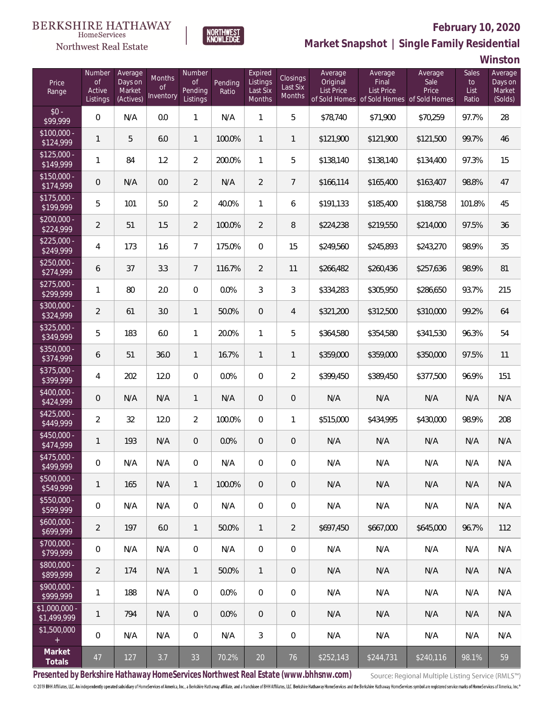

### **February 10, 2020**



**Winston**

| Price<br>Range                | Number<br><b>of</b><br>Active<br>Listings | Average<br>Days on<br>Market<br>(Actives) | Months<br>0f<br>Inventory | Number<br>Οf<br>Pending<br>Listings | Pending<br>Ratio | Expired<br>Listings<br>Last Six<br>Months | Closings<br>Last Six<br>Months | Average<br>Original<br><b>List Price</b> | Average<br>Final<br><b>List Price</b> | Average<br>Sale<br>Price<br>of Sold Homes of Sold Homes of Sold Homes | Sales<br>to<br>List<br>Ratio | Average<br>Days on<br>Market<br>(Solds) |
|-------------------------------|-------------------------------------------|-------------------------------------------|---------------------------|-------------------------------------|------------------|-------------------------------------------|--------------------------------|------------------------------------------|---------------------------------------|-----------------------------------------------------------------------|------------------------------|-----------------------------------------|
| $$0 -$<br>\$99,999            | $\mathbf 0$                               | N/A                                       | 0.0                       | $\mathbf{1}$                        | N/A              | $\mathbf{1}$                              | 5                              | \$78,740                                 | \$71,900                              | \$70,259                                                              | 97.7%                        | 28                                      |
| $$100,000 -$<br>\$124,999     | 1                                         | 5                                         | 6.0                       | $\mathbf{1}$                        | 100.0%           | $\mathbf{1}$                              | $\mathbf{1}$                   | \$121,900                                | \$121,900                             | \$121,500                                                             | 99.7%                        | 46                                      |
| $$125,000 -$<br>\$149,999     | 1                                         | 84                                        | 1.2                       | $\overline{2}$                      | 200.0%           | $\mathbf{1}$                              | 5                              | \$138,140                                | \$138,140                             | \$134,400                                                             | 97.3%                        | 15                                      |
| $$150,000 -$<br>\$174,999     | 0                                         | N/A                                       | 0.0                       | $\overline{2}$                      | N/A              | $\overline{2}$                            | $\overline{7}$                 | \$166,114                                | \$165,400                             | \$163,407                                                             | 98.8%                        | 47                                      |
| $$175,000 -$<br>\$199,999     | 5                                         | 101                                       | 5.0                       | $\overline{2}$                      | 40.0%            | $\mathbf{1}$                              | 6                              | \$191,133                                | \$185,400                             | \$188,758                                                             | 101.8%                       | 45                                      |
| $$200,000 -$<br>\$224,999     | $\overline{2}$                            | 51                                        | 1.5                       | $\overline{2}$                      | 100.0%           | $\overline{2}$                            | 8                              | \$224,238                                | \$219,550                             | \$214,000                                                             | 97.5%                        | 36                                      |
| $$225,000 -$<br>\$249,999     | 4                                         | 173                                       | 1.6                       | $\overline{7}$                      | 175.0%           | $\mathbf{0}$                              | 15                             | \$249,560                                | \$245,893                             | \$243,270                                                             | 98.9%                        | 35                                      |
| $$250,000 -$<br>\$274,999     | 6                                         | 37                                        | 3.3                       | $\overline{7}$                      | 116.7%           | $\overline{2}$                            | 11                             | \$266,482                                | \$260,436                             | \$257,636                                                             | 98.9%                        | 81                                      |
| $$275,000 -$<br>\$299,999     | 1                                         | 80                                        | 2.0                       | $\overline{0}$                      | 0.0%             | 3                                         | 3                              | \$334,283                                | \$305,950                             | \$286,650                                                             | 93.7%                        | 215                                     |
| $$300,000 -$<br>\$324,999     | $\overline{2}$                            | 61                                        | 3.0                       | $\mathbf{1}$                        | 50.0%            | $\overline{0}$                            | $\overline{4}$                 | \$321,200                                | \$312,500                             | \$310,000                                                             | 99.2%                        | 64                                      |
| $$325,000 -$<br>\$349,999     | 5                                         | 183                                       | 6.0                       | $\mathbf{1}$                        | 20.0%            | $\mathbf{1}$                              | 5                              | \$364,580                                | \$354,580                             | \$341,530                                                             | 96.3%                        | 54                                      |
| $$350,000 -$<br>\$374,999     | 6                                         | 51                                        | 36.0                      | $\mathbf{1}$                        | 16.7%            | $\mathbf{1}$                              | 1                              | \$359,000                                | \$359,000                             | \$350,000                                                             | 97.5%                        | 11                                      |
| $$375,000 -$<br>\$399,999     | 4                                         | 202                                       | 12.0                      | $\overline{0}$                      | 0.0%             | $\overline{0}$                            | $\overline{2}$                 | \$399,450                                | \$389,450                             | \$377,500                                                             | 96.9%                        | 151                                     |
| $$400.000 -$<br>\$424,999     | 0                                         | N/A                                       | N/A                       | $\mathbf{1}$                        | N/A              | $\overline{0}$                            | $\mathsf{O}\xspace$            | N/A                                      | N/A                                   | N/A                                                                   | N/A                          | N/A                                     |
| $$425,000 -$<br>\$449,999     | $\overline{2}$                            | 32                                        | 12.0                      | $\overline{2}$                      | 100.0%           | $\overline{0}$                            | 1                              | \$515,000                                | \$434,995                             | \$430,000                                                             | 98.9%                        | 208                                     |
| $$450,000 -$<br>\$474,999     | 1                                         | 193                                       | N/A                       | $\overline{0}$                      | 0.0%             | $\overline{0}$                            | $\mathbf 0$                    | N/A                                      | N/A                                   | N/A                                                                   | N/A                          | N/A                                     |
| $$475,000 -$<br>\$499,999     | 0                                         | N/A                                       | N/A                       | 0                                   | N/A              | 0                                         | 0                              | N/A                                      | N/A                                   | N/A                                                                   | N/A                          | N/A                                     |
| $$500,000 -$<br>\$549,999     | 1                                         | 165                                       | N/A                       | $\mathbf{1}$                        | 100.0%           | $\overline{0}$                            | 0                              | N/A                                      | N/A                                   | N/A                                                                   | N/A                          | N/A                                     |
| $$550,000 -$<br>\$599,999     | $\mathbf 0$                               | N/A                                       | N/A                       | $\overline{0}$                      | N/A              | $\mathbf 0$                               | 0                              | N/A                                      | N/A                                   | N/A                                                                   | N/A                          | N/A                                     |
| $$600,000 -$<br>\$699,999     | $\overline{2}$                            | 197                                       | 6.0                       | $\mathbf{1}$                        | 50.0%            | $\mathbf{1}$                              | $\overline{2}$                 | \$697.450                                | \$667,000                             | \$645,000                                                             | 96.7%                        | 112                                     |
| $$700,000 -$<br>\$799,999     | $\mathbf 0$                               | N/A                                       | N/A                       | $\overline{0}$                      | N/A              | $\mathbf 0$                               | $\overline{0}$                 | N/A                                      | N/A                                   | N/A                                                                   | N/A                          | N/A                                     |
| $$800,000 -$<br>\$899,999     | 2                                         | 174                                       | N/A                       | $\mathbf{1}$                        | 50.0%            | $\mathbf{1}$                              | 0                              | N/A                                      | N/A                                   | N/A                                                                   | N/A                          | N/A                                     |
| $$900.000 -$<br>\$999,999     | 1                                         | 188                                       | N/A                       | $\overline{0}$                      | $0.0\%$          | $\overline{0}$                            | 0                              | N/A                                      | N/A                                   | N/A                                                                   | N/A                          | N/A                                     |
| $$1,000,000$ -<br>\$1,499,999 | 1                                         | 794                                       | N/A                       | $\overline{0}$                      | 0.0%             | $\overline{0}$                            | 0                              | N/A                                      | N/A                                   | N/A                                                                   | N/A                          | N/A                                     |
| \$1,500,000<br>$+$            | $\mathbf 0$                               | N/A                                       | N/A                       | $\overline{0}$                      | N/A              | 3                                         | 0                              | N/A                                      | N/A                                   | N/A                                                                   | N/A                          | N/A                                     |
| Market<br>Totals              | 47                                        | 127                                       | 3.7                       | 33                                  | 70.2%            | 20                                        | 76                             | \$252,143                                | \$244,731                             | \$240,116                                                             | 98.1%                        | 59                                      |

**NORTHWEST**<br>KNOWLEDGE

**Presented by Berkshire Hathaway HomeServices Northwest Real Estate (www.bhhsnw.com)**

Source: Regional Multiple Listing Service (RMLS™)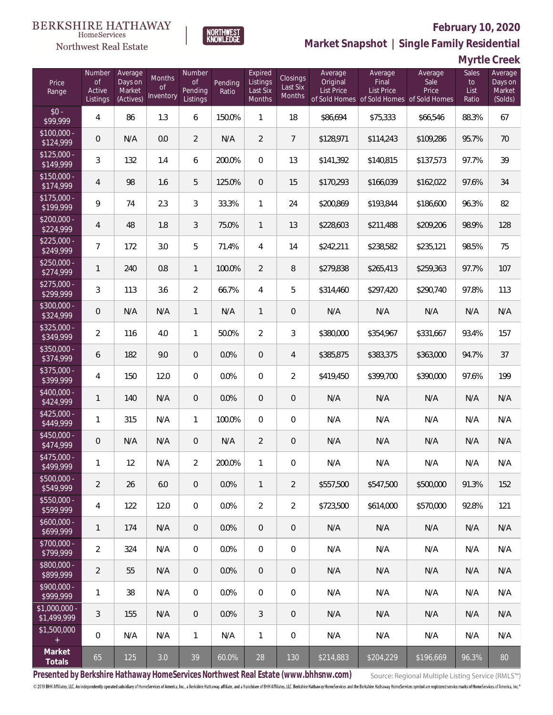### Northwest Real Estate



### **February 10, 2020**

**Market Snapshot | Single Family Residential**

**Myrtle Creek**

| Price<br>Range               | Number<br><b>of</b><br>Active<br>Listings | Average<br>Days on<br>Market<br>(Actives) | Months<br><b>of</b><br>Inventory | Number<br><b>of</b><br>Pending<br>Listings | Pending<br>Ratio | Expired<br>Listings<br>Last Six<br>Months | <b>Closings</b><br>Last Six<br><b>Months</b> | Average<br>Original<br><b>List Price</b> | Average<br>Final<br>List Price<br>of Sold Homes of Sold Homes of Sold Homes | Average<br>Sale<br>Price | Sales<br>to<br>List<br>Ratio | Average<br>Days on<br>Market<br>(Solds) |
|------------------------------|-------------------------------------------|-------------------------------------------|----------------------------------|--------------------------------------------|------------------|-------------------------------------------|----------------------------------------------|------------------------------------------|-----------------------------------------------------------------------------|--------------------------|------------------------------|-----------------------------------------|
| $$0 -$<br>\$99,999           | 4                                         | 86                                        | 1.3                              | 6                                          | 150.0%           | $\mathbf{1}$                              | 18                                           | \$86,694                                 | \$75,333                                                                    | \$66,546                 | 88.3%                        | 67                                      |
| $$100,000 -$<br>\$124,999    | 0                                         | N/A                                       | 0.0                              | $\overline{2}$                             | N/A              | $\overline{2}$                            | $\overline{7}$                               | \$128,971                                | \$114,243                                                                   | \$109,286                | 95.7%                        | 70                                      |
| $$125,000 -$<br>\$149,999    | 3                                         | 132                                       | 1.4                              | 6                                          | 200.0%           | $\overline{0}$                            | 13                                           | \$141,392                                | \$140,815                                                                   | \$137,573                | 97.7%                        | 39                                      |
| $$150,000 -$<br>\$174,999    | 4                                         | 98                                        | 1.6                              | 5                                          | 125.0%           | $\overline{0}$                            | 15                                           | \$170,293                                | \$166,039                                                                   | \$162,022                | 97.6%                        | 34                                      |
| $$175,000 -$<br>\$199,999    | $\overline{9}$                            | 74                                        | 2.3                              | 3                                          | 33.3%            | $\mathbf{1}$                              | 24                                           | \$200,869                                | \$193,844                                                                   | \$186,600                | 96.3%                        | 82                                      |
| $$200,000 -$<br>\$224,999    | 4                                         | 48                                        | 1.8                              | $\mathfrak{Z}$                             | 75.0%            | $\mathbf{1}$                              | 13                                           | \$228,603                                | \$211,488                                                                   | \$209,206                | 98.9%                        | 128                                     |
| $$225,000 -$<br>\$249,999    | 7                                         | 172                                       | 3.0                              | 5                                          | 71.4%            | $\overline{4}$                            | 14                                           | \$242,211                                | \$238,582                                                                   | \$235,121                | 98.5%                        | 75                                      |
| $$250,000 -$<br>\$274,999    | 1                                         | 240                                       | 0.8                              | $\mathbf{1}$                               | 100.0%           | $\overline{2}$                            | 8                                            | \$279,838                                | \$265,413                                                                   | \$259,363                | 97.7%                        | 107                                     |
| $$275,000 -$<br>\$299,999    | 3                                         | 113                                       | 3.6                              | $\overline{2}$                             | 66.7%            | $\overline{4}$                            | 5                                            | \$314,460                                | \$297,420                                                                   | \$290,740                | 97.8%                        | 113                                     |
| $$300,000 -$<br>\$324,999    | 0                                         | N/A                                       | N/A                              | $\mathbf{1}$                               | N/A              | $\mathbf{1}$                              | 0                                            | N/A                                      | N/A                                                                         | N/A                      | N/A                          | N/A                                     |
| $$325,000 -$<br>\$349,999    | $\overline{2}$                            | 116                                       | 4.0                              | $\mathbf{1}$                               | 50.0%            | $\overline{2}$                            | 3                                            | \$380,000                                | \$354,967                                                                   | \$331,667                | 93.4%                        | 157                                     |
| $$350,000 -$<br>\$374,999    | 6                                         | 182                                       | 9.0                              | $\overline{0}$                             | 0.0%             | $\overline{0}$                            | $\overline{4}$                               | \$385,875                                | \$383,375                                                                   | \$363,000                | 94.7%                        | 37                                      |
| $$375,000 -$<br>\$399,999    | 4                                         | 150                                       | 12.0                             | $\Omega$                                   | 0.0%             | $\overline{0}$                            | $\overline{2}$                               | \$419,450                                | \$399,700                                                                   | \$390,000                | 97.6%                        | 199                                     |
| $$400,000 -$<br>\$424,999    | $\mathbf{1}$                              | 140                                       | N/A                              | $\overline{0}$                             | 0.0%             | $\overline{0}$                            | $\mathbf 0$                                  | N/A                                      | N/A                                                                         | N/A                      | N/A                          | N/A                                     |
| $$425,000 -$<br>\$449,999    | 1                                         | 315                                       | N/A                              | $\mathbf{1}$                               | 100.0%           | $\overline{0}$                            | $\overline{0}$                               | N/A                                      | N/A                                                                         | N/A                      | N/A                          | N/A                                     |
| $$450,000 -$<br>\$474,999    | 0                                         | N/A                                       | N/A                              | $\overline{0}$                             | N/A              | $\overline{2}$                            | $\mathbf 0$                                  | N/A                                      | N/A                                                                         | N/A                      | N/A                          | N/A                                     |
| $$475,000 -$<br>\$499,999    | 1                                         | 12                                        | N/A                              | $\overline{2}$                             | 200.0%           | $\mathbf{1}$                              | 0                                            | N/A                                      | N/A                                                                         | N/A                      | N/A                          | N/A                                     |
| \$500,000 -<br>\$549,999     | $\overline{2}$                            | 26                                        | 6.0                              | $\overline{0}$                             | 0.0%             | $\mathbf{1}$                              | $\overline{2}$                               | \$557,500                                | \$547,500                                                                   | \$500,000                | 91.3%                        | 152                                     |
| $$550,000 -$<br>\$599,999    | $\overline{4}$                            | 122                                       | 12.0                             | $\overline{0}$                             | 0.0%             | $\overline{2}$                            | $\overline{2}$                               | \$723,500                                | \$614,000                                                                   | \$570,000                | 92.8%                        | 121                                     |
| $$600,000 -$<br>\$699,999    | 1                                         | 174                                       | N/A                              | $\overline{0}$                             | 0.0%             | $\overline{0}$                            | 0                                            | N/A                                      | N/A                                                                         | N/A                      | N/A                          | N/A                                     |
| $$700,000 -$<br>\$799,999    | $\overline{2}$                            | 324                                       | N/A                              | $\overline{0}$                             | 0.0%             | $\mathbf 0$                               | 0                                            | N/A                                      | N/A                                                                         | N/A                      | N/A                          | N/A                                     |
| $$800,000 -$<br>\$899,999    | $\overline{2}$                            | 55                                        | N/A                              | $\overline{0}$                             | 0.0%             | $\overline{0}$                            | 0                                            | N/A                                      | N/A                                                                         | N/A                      | N/A                          | N/A                                     |
| $$900,000 -$<br>\$999,999    | 1                                         | 38                                        | N/A                              | $\mathbf 0$                                | 0.0%             | $\mathbf 0$                               | 0                                            | N/A                                      | N/A                                                                         | N/A                      | N/A                          | N/A                                     |
| \$1,000,000 -<br>\$1,499,999 | 3                                         | 155                                       | N/A                              | $\overline{0}$                             | 0.0%             | $\mathfrak{Z}$                            | 0                                            | N/A                                      | N/A                                                                         | N/A                      | N/A                          | N/A                                     |
| \$1,500,000<br>$\pm$         | $\mathbf 0$                               | N/A                                       | N/A                              | $\mathbf{1}$                               | N/A              | $\mathbf{1}$                              | 0                                            | N/A                                      | N/A                                                                         | N/A                      | N/A                          | N/A                                     |
| Market<br>Totals             | 65                                        | 125                                       | 3.0                              | 39                                         | 60.0%            | 28                                        | 130                                          | \$214,883                                | \$204,229                                                                   | \$196,669                | 96.3%                        | 80                                      |

**Presented by Berkshire Hathaway HomeServices Northwest Real Estate (www.bhhsnw.com)**

Source: Regional Multiple Listing Service (RMLS™)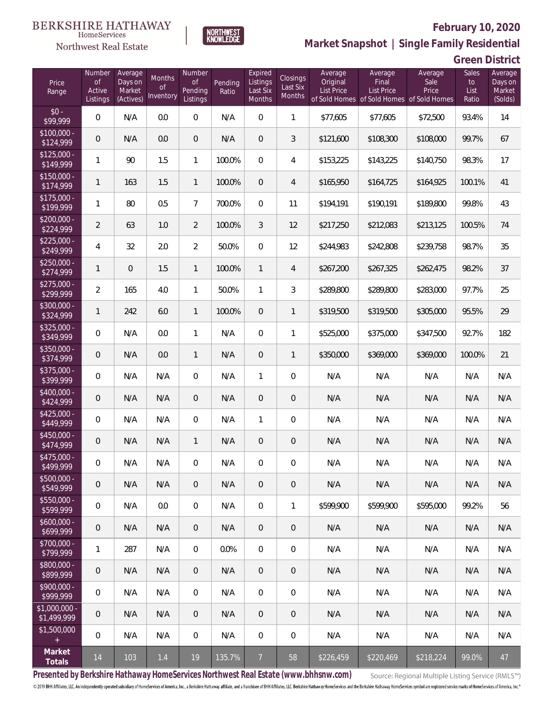

### **February 10, 2020**

**Market Snapshot | Single Family Residential**

| <b>Green District</b> |  |
|-----------------------|--|
|                       |  |

| Price<br>Range                | Number<br><b>of</b><br>Active<br><b>Listings</b> | Average<br>Days on<br>Market<br>(Actives) | Months<br>Οf<br>Inventory | Number<br><b>of</b><br>Pending<br>Listings | Pending<br>Ratio | Expired<br>Listings<br>Last Six<br>Months | Closings<br>Last Six<br>Months | Average<br>Original<br><b>List Price</b> | Average<br>Final<br>List Price<br>of Sold Homes of Sold Homes of Sold Homes | Average<br>Sale<br>Price | Sales<br>to<br>List<br>Ratio | Average<br>Days on<br>Market<br>(Solds) |
|-------------------------------|--------------------------------------------------|-------------------------------------------|---------------------------|--------------------------------------------|------------------|-------------------------------------------|--------------------------------|------------------------------------------|-----------------------------------------------------------------------------|--------------------------|------------------------------|-----------------------------------------|
| $$0 -$<br>\$99,999            | 0                                                | N/A                                       | 0.0                       | 0                                          | N/A              | $\overline{0}$                            | $\mathbf{1}$                   | \$77,605                                 | \$77,605                                                                    | \$72,500                 | 93.4%                        | 14                                      |
| $$100,000 -$<br>\$124,999     | 0                                                | N/A                                       | 0.0                       | $\overline{0}$                             | N/A              | $\overline{0}$                            | 3                              | \$121,600                                | \$108,300                                                                   | \$108,000                | 99.7%                        | 67                                      |
| $$125,000 -$<br>\$149,999     | 1                                                | 90                                        | 1.5                       | $\mathbf{1}$                               | 100.0%           | $\overline{0}$                            | 4                              | \$153,225                                | \$143,225                                                                   | \$140,750                | 98.3%                        | 17                                      |
| $$150,000 -$<br>\$174,999     | $\mathbf{1}$                                     | 163                                       | 1.5                       | $\mathbf{1}$                               | 100.0%           | $\overline{0}$                            | 4                              | \$165,950                                | \$164,725                                                                   | \$164,925                | 100.1%                       | 41                                      |
| $$175,000 -$<br>\$199,999     | 1                                                | 80                                        | 0.5                       | $\overline{7}$                             | 700.0%           | $\overline{0}$                            | 11                             | \$194,191                                | \$190,191                                                                   | \$189,800                | 99.8%                        | 43                                      |
| $$200,000 -$<br>\$224,999     | $\overline{2}$                                   | 63                                        | 1.0                       | $\overline{2}$                             | 100.0%           | 3                                         | 12                             | \$217,250                                | \$212,083                                                                   | \$213,125                | 100.5%                       | 74                                      |
| $$225,000 -$<br>\$249,999     | $\overline{4}$                                   | 32                                        | 2.0                       | $\overline{2}$                             | 50.0%            | $\overline{0}$                            | 12                             | \$244,983                                | \$242,808                                                                   | \$239,758                | 98.7%                        | 35                                      |
| $$250,000 -$<br>\$274,999     | $\mathbf{1}$                                     | 0                                         | 1.5                       | 1                                          | 100.0%           | $\mathbf{1}$                              | $\overline{4}$                 | \$267,200                                | \$267,325                                                                   | \$262,475                | 98.2%                        | 37                                      |
| $$275,000 -$<br>\$299,999     | $\overline{a}$                                   | 165                                       | 4.0                       | 1                                          | 50.0%            | 1                                         | 3                              | \$289,800                                | \$289,800                                                                   | \$283,000                | 97.7%                        | 25                                      |
| \$300,000 -<br>\$324,999      | $\mathbf{1}$                                     | 242                                       | 6.0                       | 1                                          | 100.0%           | $\overline{0}$                            | $\mathbf{1}$                   | \$319,500                                | \$319,500                                                                   | \$305,000                | 95.5%                        | 29                                      |
| \$325,000 -<br>\$349,999      | $\boldsymbol{0}$                                 | N/A                                       | 0.0                       | 1                                          | N/A              | $\overline{0}$                            | $\mathbf{1}$                   | \$525,000                                | \$375,000                                                                   | \$347,500                | 92.7%                        | 182                                     |
| \$350,000 -<br>\$374,999      | 0                                                | N/A                                       | 0.0                       | $\mathbf{1}$                               | N/A              | $\overline{0}$                            | $\mathbf{1}$                   | \$350,000                                | \$369,000                                                                   | \$369,000                | 100.0%                       | 21                                      |
| \$375,000 -<br>\$399,999      | $\boldsymbol{0}$                                 | N/A                                       | N/A                       | $\overline{0}$                             | N/A              | $\mathbf{1}$                              | $\mathbf 0$                    | N/A                                      | N/A                                                                         | N/A                      | N/A                          | N/A                                     |
| \$400,000 -<br>\$424,999      | 0                                                | N/A                                       | N/A                       | $\overline{0}$                             | N/A              | $\overline{0}$                            | $\mathbf 0$                    | N/A                                      | N/A                                                                         | N/A                      | N/A                          | N/A                                     |
| $$425,000 -$<br>\$449,999     | $\boldsymbol{0}$                                 | N/A                                       | N/A                       | $\overline{0}$                             | N/A              | 1                                         | $\boldsymbol{0}$               | N/A                                      | N/A                                                                         | N/A                      | N/A                          | N/A                                     |
| \$450,000 -<br>\$474,999      | 0                                                | N/A                                       | N/A                       | 1                                          | N/A              | $\overline{0}$                            | $\mathbf 0$                    | N/A                                      | N/A                                                                         | N/A                      | N/A                          | N/A                                     |
| \$475,000 -<br>\$499,999      | 0                                                | N/A                                       | N/A                       | 0                                          | N/A              | 0                                         | 0                              | N/A                                      | N/A                                                                         | N/A                      | N/A                          | N/A                                     |
| $$500,000 -$<br>\$549,999     | 0                                                | N/A                                       | N/A                       | 0                                          | N/A              | $\overline{0}$                            | $\sqrt{0}$                     | N/A                                      | N/A                                                                         | N/A                      | N/A                          | N/A                                     |
| $$550,000 -$<br>\$599,999     | 0                                                | N/A                                       | 0.0                       | $\overline{0}$                             | N/A              | $\mathbf 0$                               | $\mathbf{1}$                   | \$599,900                                | \$599,900                                                                   | \$595,000                | 99.2%                        | 56                                      |
| $$600,000 -$<br>\$699,999     | $\mathsf{O}\xspace$                              | N/A                                       | N/A                       | $\overline{0}$                             | N/A              | $\overline{0}$                            | $\sqrt{0}$                     | N/A                                      | N/A                                                                         | N/A                      | N/A                          | N/A                                     |
| \$700,000 -<br>\$799,999      | $\mathbf{1}$                                     | 287                                       | N/A                       | $\overline{0}$                             | 0.0%             | $\overline{0}$                            | $\overline{0}$                 | N/A                                      | N/A                                                                         | N/A                      | N/A                          | N/A                                     |
| \$800,000 -<br>\$899,999      | $\mathbf 0$                                      | N/A                                       | N/A                       | $\overline{0}$                             | N/A              | $\overline{0}$                            | $\sqrt{0}$                     | N/A                                      | N/A                                                                         | N/A                      | N/A                          | N/A                                     |
| \$900,000 -<br>\$999,999      | 0                                                | N/A                                       | N/A                       | $\overline{0}$                             | N/A              | $\mathbf 0$                               | $\mathbf 0$                    | N/A                                      | N/A                                                                         | N/A                      | N/A                          | N/A                                     |
| $$1,000,000$ -<br>\$1,499,999 | $\mathbf 0$                                      | N/A                                       | N/A                       | $\overline{0}$                             | N/A              | $\overline{0}$                            | $\overline{0}$                 | N/A                                      | N/A                                                                         | N/A                      | N/A                          | N/A                                     |
| \$1,500,000<br>$\pm$          | 0                                                | N/A                                       | N/A                       | $\overline{0}$                             | N/A              | $\mathbf 0$                               | 0                              | N/A                                      | N/A                                                                         | N/A                      | N/A                          | N/A                                     |
| Market<br>Totals              | 14                                               | 103                                       | 1.4                       | 19                                         | 135.7%           | $\overline{7}$                            | 58                             | \$226,459                                | \$220,469                                                                   | \$218,224                | 99.0%                        | 47                                      |

**NORTHWEST**<br>KNOWLEDGE

**Presented by Berkshire Hathaway HomeServices Northwest Real Estate (www.bhhsnw.com)**

Source: Regional Multiple Listing Service (RMLS™)